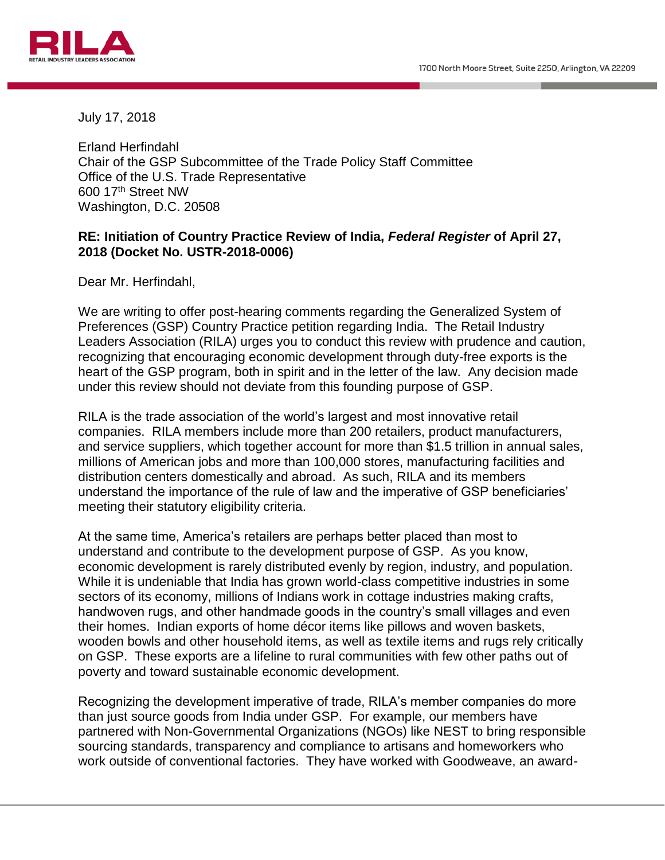

July 17, 2018

Erland Herfindahl Chair of the GSP Subcommittee of the Trade Policy Staff Committee Office of the U.S. Trade Representative 600 17th Street NW Washington, D.C. 20508

## **RE: Initiation of Country Practice Review of India,** *Federal Register* **of April 27, 2018 (Docket No. USTR-2018-0006)**

Dear Mr. Herfindahl,

We are writing to offer post-hearing comments regarding the Generalized System of Preferences (GSP) Country Practice petition regarding India. The Retail Industry Leaders Association (RILA) urges you to conduct this review with prudence and caution, recognizing that encouraging economic development through duty-free exports is the heart of the GSP program, both in spirit and in the letter of the law. Any decision made under this review should not deviate from this founding purpose of GSP.

RILA is the trade association of the world's largest and most innovative retail companies. RILA members include more than 200 retailers, product manufacturers, and service suppliers, which together account for more than \$1.5 trillion in annual sales, millions of American jobs and more than 100,000 stores, manufacturing facilities and distribution centers domestically and abroad. As such, RILA and its members understand the importance of the rule of law and the imperative of GSP beneficiaries' meeting their statutory eligibility criteria.

At the same time, America's retailers are perhaps better placed than most to understand and contribute to the development purpose of GSP. As you know, economic development is rarely distributed evenly by region, industry, and population. While it is undeniable that India has grown world-class competitive industries in some sectors of its economy, millions of Indians work in cottage industries making crafts, handwoven rugs, and other handmade goods in the country's small villages and even their homes. Indian exports of home décor items like pillows and woven baskets, wooden bowls and other household items, as well as textile items and rugs rely critically on GSP. These exports are a lifeline to rural communities with few other paths out of poverty and toward sustainable economic development.

Recognizing the development imperative of trade, RILA's member companies do more than just source goods from India under GSP. For example, our members have partnered with Non-Governmental Organizations (NGOs) like NEST to bring responsible sourcing standards, transparency and compliance to artisans and homeworkers who work outside of conventional factories. They have worked with Goodweave, an award-